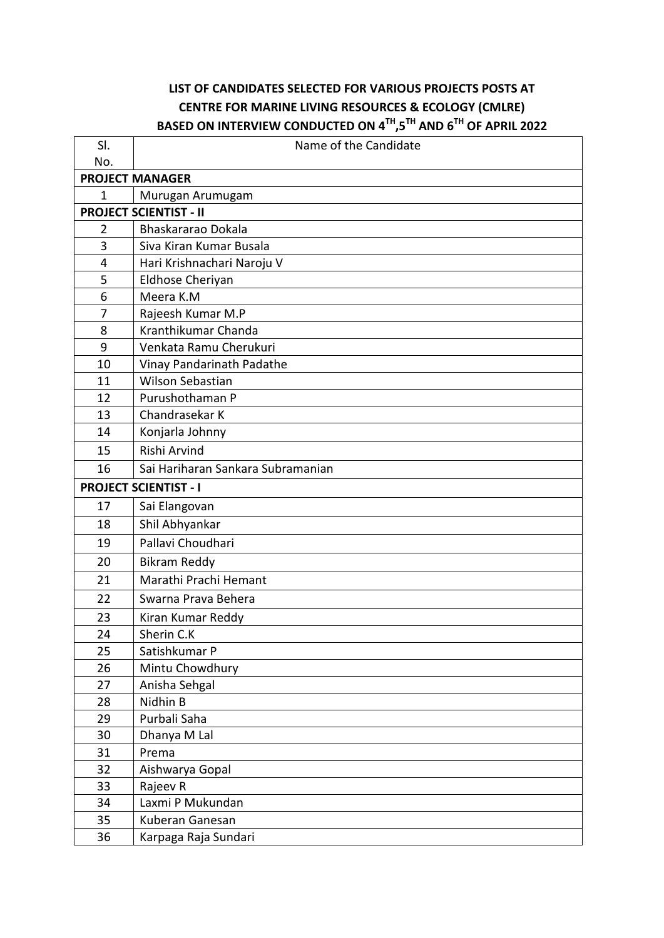## **LIST OF CANDIDATES SELECTED FOR VARIOUS PROJECTS POSTS AT CENTRE FOR MARINE LIVING RESOURCES & ECOLOGY (CMLRE) BASED ON INTERVIEW CONDUCTED ON 4TH,5TH AND 6TH OF APRIL 2022**

| SI.<br>No.                    | Name of the Candidate             |  |
|-------------------------------|-----------------------------------|--|
|                               | <b>PROJECT MANAGER</b>            |  |
| 1                             | Murugan Arumugam                  |  |
| <b>PROJECT SCIENTIST - II</b> |                                   |  |
| $\overline{2}$                | Bhaskararao Dokala                |  |
| 3                             | Siva Kiran Kumar Busala           |  |
| 4                             | Hari Krishnachari Naroju V        |  |
| 5                             | Eldhose Cheriyan                  |  |
| 6                             | Meera K.M                         |  |
| 7                             | Rajeesh Kumar M.P                 |  |
| 8                             | Kranthikumar Chanda               |  |
| 9                             | Venkata Ramu Cherukuri            |  |
| 10                            | Vinay Pandarinath Padathe         |  |
| 11                            | <b>Wilson Sebastian</b>           |  |
| 12                            | Purushothaman P                   |  |
| 13                            | Chandrasekar K                    |  |
| 14                            | Konjarla Johnny                   |  |
| 15                            | Rishi Arvind                      |  |
| 16                            | Sai Hariharan Sankara Subramanian |  |
| <b>PROJECT SCIENTIST - I</b>  |                                   |  |
| 17                            | Sai Elangovan                     |  |
| 18                            | Shil Abhyankar                    |  |
| 19                            | Pallavi Choudhari                 |  |
| 20                            | <b>Bikram Reddy</b>               |  |
| 21                            | Marathi Prachi Hemant             |  |
| 22                            | Swarna Prava Behera               |  |
| 23                            | Kiran Kumar Reddy                 |  |
| 24                            | Sherin C.K                        |  |
| 25                            | Satishkumar P                     |  |
| 26                            | Mintu Chowdhury                   |  |
| 27                            | Anisha Sehgal                     |  |
| 28                            | Nidhin B                          |  |
| 29                            | Purbali Saha                      |  |
| 30                            | Dhanya M Lal                      |  |
| 31                            | Prema                             |  |
| 32                            | Aishwarya Gopal                   |  |
| 33                            | Rajeev R                          |  |
| 34                            | Laxmi P Mukundan                  |  |
| 35                            | Kuberan Ganesan                   |  |
| 36                            | Karpaga Raja Sundari              |  |